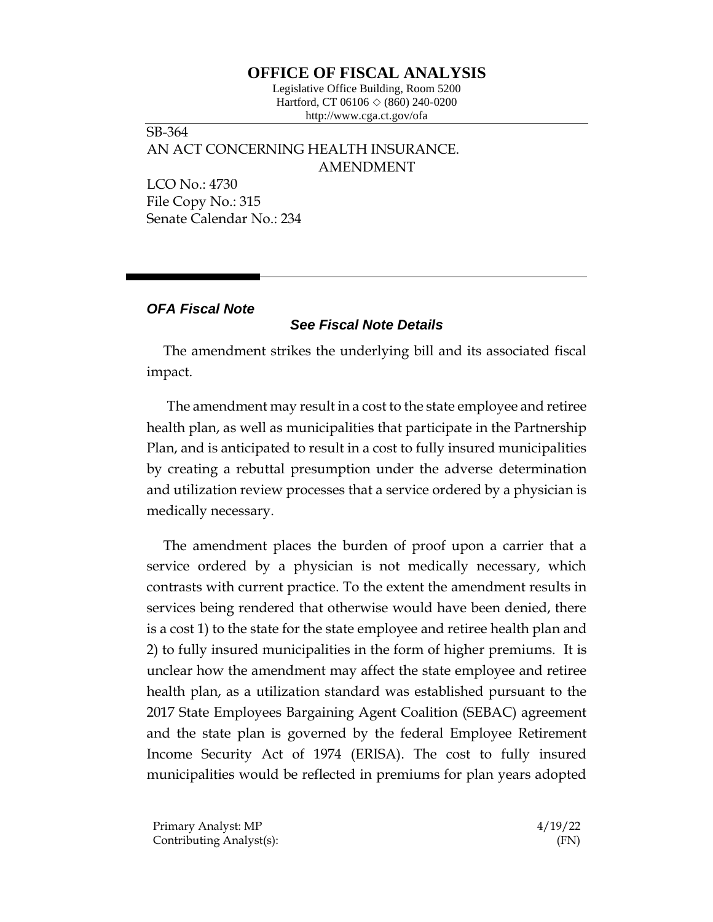## **OFFICE OF FISCAL ANALYSIS**

Legislative Office Building, Room 5200 Hartford, CT 06106  $\Diamond$  (860) 240-0200 http://www.cga.ct.gov/ofa

SB-364 AN ACT CONCERNING HEALTH INSURANCE. AMENDMENT

LCO No.: 4730 File Copy No.: 315 Senate Calendar No.: 234

## *OFA Fiscal Note*

## *See Fiscal Note Details*

The amendment strikes the underlying bill and its associated fiscal impact.

The amendment may result in a cost to the state employee and retiree health plan, as well as municipalities that participate in the Partnership Plan, and is anticipated to result in a cost to fully insured municipalities by creating a rebuttal presumption under the adverse determination and utilization review processes that a service ordered by a physician is medically necessary.

The amendment places the burden of proof upon a carrier that a service ordered by a physician is not medically necessary, which contrasts with current practice. To the extent the amendment results in services being rendered that otherwise would have been denied, there is a cost 1) to the state for the state employee and retiree health plan and 2) to fully insured municipalities in the form of higher premiums. It is unclear how the amendment may affect the state employee and retiree health plan, as a utilization standard was established pursuant to the 2017 State Employees Bargaining Agent Coalition (SEBAC) agreement and the state plan is governed by the federal Employee Retirement Income Security Act of 1974 (ERISA). The cost to fully insured municipalities would be reflected in premiums for plan years adopted

Primary Analyst: MP  $\frac{4}{19/22}$ Contributing Analyst(s): (FN)